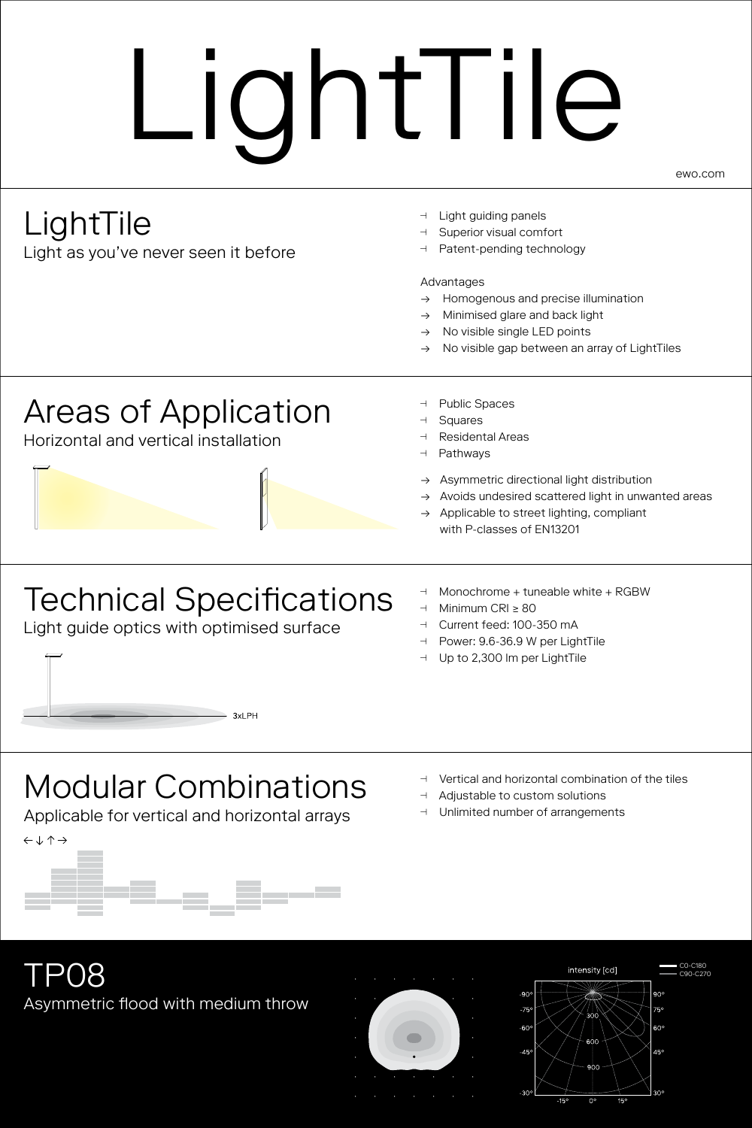# LightTile

ewo.com

## LightTile

Light as you've never seen it before

- ȯ Light guiding panels
- ȯ Superior visual comfort
- Patent-pending technology

#### Advantages

- → Homogenous and precise illumination
- Minimised glare and back light
- $\rightarrow$  No visible single LED points
- No visible gap between an array of LightTiles

#### Areas of Application

Horizontal and vertical installation

- ȯȯPublic Spaces
- Squares
- ȯȯResidental Areas
- Pathways
- Asymmetric directional light distribution
- → Avoids undesired scattered light in unwanted areas
- Applicable to street lighting, compliant with P-classes of EN13201

## Technical Specifications

 $-3x$  PH

Light guide optics with optimised surface

- ȯ Monochrome + tuneable white + RGBW
- ȯ Minimum CRI ≥ 80
- ȯ Current feed: 100-350 mA
- ȯ Power: 9.6-36.9 W per LightTile
- ȯ Up to 2,300 lm per LightTile

### Modular Combinations

Applicable for vertical and horizontal arrays



- ȯ Vertical and horizontal combination of the tiles
- **d** Adjustable to custom solutions
- ȯȯUnlimited number of arrangements





C0-C180

.<br>60'